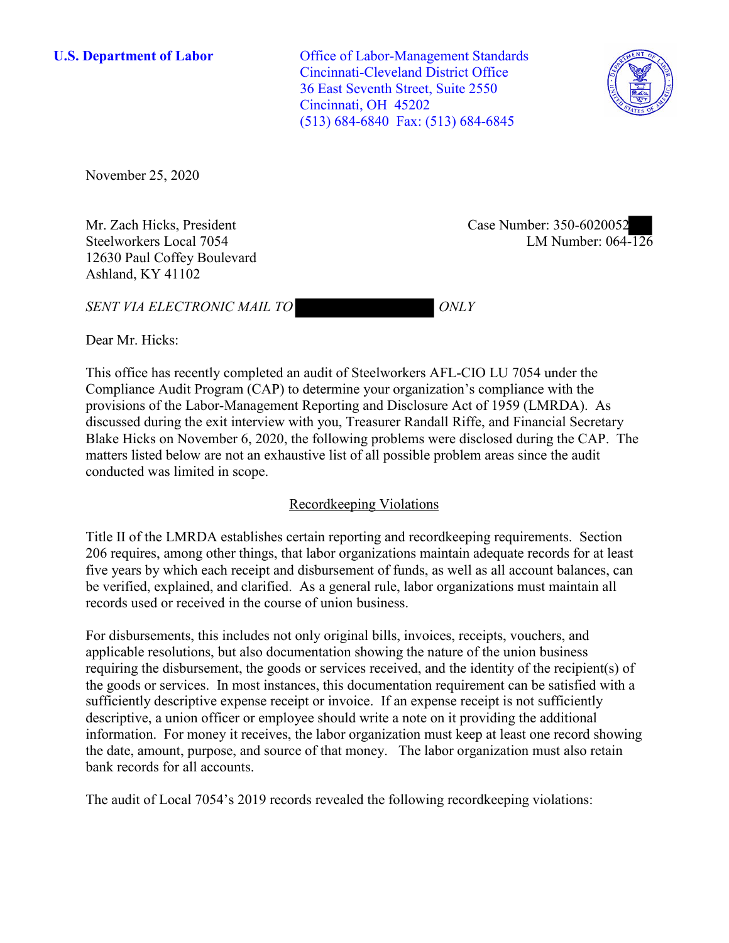**U.S. Department of Labor** Office of Labor-Management Standards Cincinnati-Cleveland District Office 36 East Seventh Street, Suite 2550 Cincinnati, OH 45202 (513) 684-6840 Fax: (513) 684-6845



November 25, 2020

Steelworkers Local 7054 12630 Paul Coffey Boulevard Ashland, KY 41102

Mr. Zach Hicks, President Case Number: 350-6020052<br>Steelworkers Local 7054 LM Number: 064-126 Case Number: 350-6020052

**SENT VIA ELECTRONIC MAIL TO ONLY** 

Dear Mr. Hicks:

 This office has recently completed an audit of Steelworkers AFL-CIO LU 7054 under the discussed during the exit interview with you, Treasurer Randall Riffe, and Financial Secretary Compliance Audit Program (CAP) to determine your organization's compliance with the provisions of the Labor-Management Reporting and Disclosure Act of 1959 (LMRDA). As Blake Hicks on November 6, 2020, the following problems were disclosed during the CAP. The matters listed below are not an exhaustive list of all possible problem areas since the audit conducted was limited in scope.

# Recordkeeping Violations

 Title II of the LMRDA establishes certain reporting and recordkeeping requirements. Section 206 requires, among other things, that labor organizations maintain adequate records for at least five years by which each receipt and disbursement of funds, as well as all account balances, can be verified, explained, and clarified. As a general rule, labor organizations must maintain all records used or received in the course of union business.

For disbursements, this includes not only original bills, invoices, receipts, vouchers, and applicable resolutions, but also documentation showing the nature of the union business requiring the disbursement, the goods or services received, and the identity of the recipient(s) of the goods or services. In most instances, this documentation requirement can be satisfied with a sufficiently descriptive expense receipt or invoice. If an expense receipt is not sufficiently descriptive, a union officer or employee should write a note on it providing the additional information. For money it receives, the labor organization must keep at least one record showing the date, amount, purpose, and source of that money. The labor organization must also retain bank records for all accounts.

The audit of Local 7054's 2019 records revealed the following recordkeeping violations: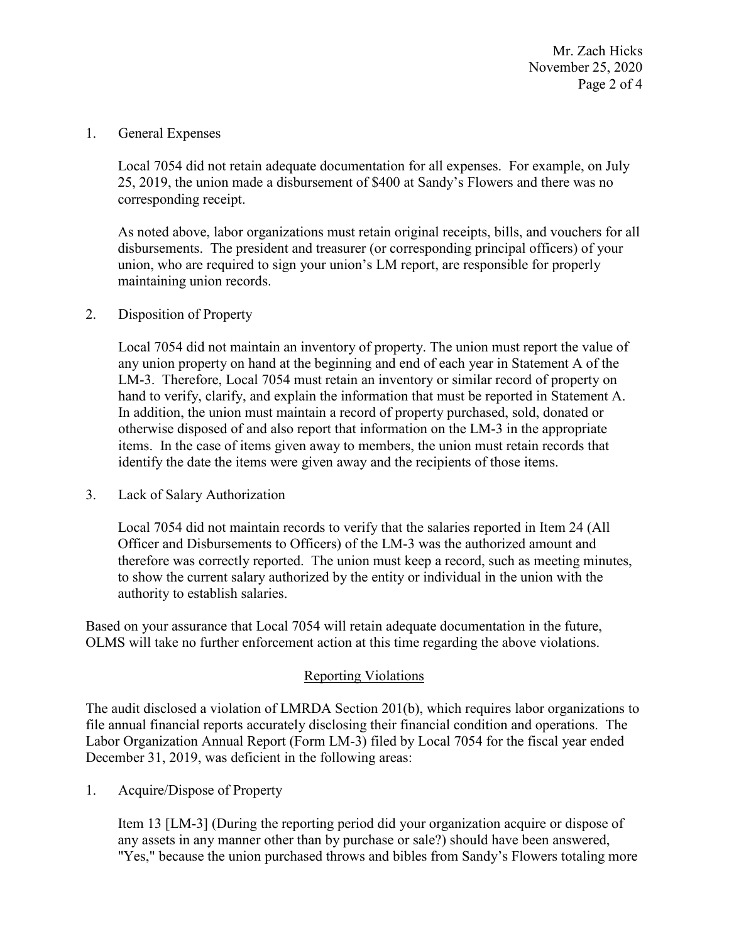Mr. Zach Hicks November 25, 2020 Page 2 of 4

1. General Expenses

 corresponding receipt. Local 7054 did not retain adequate documentation for all expenses. For example, on July 25, 2019, the union made a disbursement of \$400 at Sandy's Flowers and there was no

 disbursements. The president and treasurer (or corresponding principal officers) of your As noted above, labor organizations must retain original receipts, bills, and vouchers for all union, who are required to sign your union's LM report, are responsible for properly maintaining union records.

### 2. Disposition of Property

 LM-3. Therefore, Local 7054 must retain an inventory or similar record of property on items. In the case of items given away to members, the union must retain records that identify the date the items were given away and the recipients of those items. Local 7054 did not maintain an inventory of property. The union must report the value of any union property on hand at the beginning and end of each year in Statement A of the hand to verify, clarify, and explain the information that must be reported in Statement A. In addition, the union must maintain a record of property purchased, sold, donated or otherwise disposed of and also report that information on the LM-3 in the appropriate

3. Lack of Salary Authorization

Local 7054 did not maintain records to verify that the salaries reported in Item 24 (All Officer and Disbursements to Officers) of the LM-3 was the authorized amount and therefore was correctly reported. The union must keep a record, such as meeting minutes, to show the current salary authorized by the entity or individual in the union with the authority to establish salaries.

 Based on your assurance that Local 7054 will retain adequate documentation in the future, OLMS will take no further enforcement action at this time regarding the above violations.

### Reporting Violations

 Labor Organization Annual Report (Form LM-3) filed by Local 7054 for the fiscal year ended The audit disclosed a violation of LMRDA Section 201(b), which requires labor organizations to file annual financial reports accurately disclosing their financial condition and operations. The December 31, 2019, was deficient in the following areas:

1. Acquire/Dispose of Property

Item 13 [LM-3] (During the reporting period did your organization acquire or dispose of any assets in any manner other than by purchase or sale?) should have been answered, "Yes," because the union purchased throws and bibles from Sandy's Flowers totaling more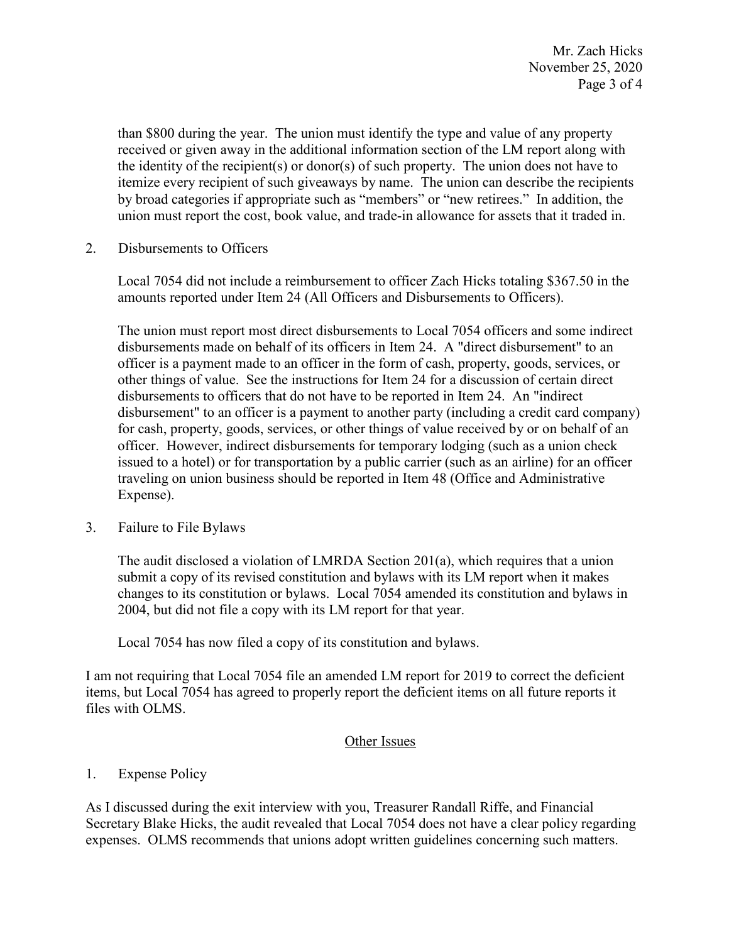than \$800 during the year. The union must identify the type and value of any property by broad categories if appropriate such as "members" or "new retirees." In addition, the received or given away in the additional information section of the LM report along with the identity of the recipient(s) or donor(s) of such property. The union does not have to itemize every recipient of such giveaways by name. The union can describe the recipients union must report the cost, book value, and trade-in allowance for assets that it traded in.

2. Disbursements to Officers

 Local 7054 did not include a reimbursement to officer Zach Hicks totaling \$367.50 in the amounts reported under Item 24 (All Officers and Disbursements to Officers).

 issued to a hotel) or for transportation by a public carrier (such as an airline) for an officer The union must report most direct disbursements to Local 7054 officers and some indirect disbursements made on behalf of its officers in Item 24. A "direct disbursement" to an officer is a payment made to an officer in the form of cash, property, goods, services, or other things of value. See the instructions for Item 24 for a discussion of certain direct disbursements to officers that do not have to be reported in Item 24. An "indirect disbursement" to an officer is a payment to another party (including a credit card company) for cash, property, goods, services, or other things of value received by or on behalf of an officer. However, indirect disbursements for temporary lodging (such as a union check traveling on union business should be reported in Item 48 (Office and Administrative Expense).

3. Failure to File Bylaws

 2004, but did not file a copy with its LM report for that year. The audit disclosed a violation of LMRDA Section 201(a), which requires that a union submit a copy of its revised constitution and bylaws with its LM report when it makes changes to its constitution or bylaws. Local 7054 amended its constitution and bylaws in

Local 7054 has now filed a copy of its constitution and bylaws.

I am not requiring that Local 7054 file an amended LM report for 2019 to correct the deficient items, but Local 7054 has agreed to properly report the deficient items on all future reports it files with OLMS.

## Other Issues

## 1. Expense Policy

As I discussed during the exit interview with you, Treasurer Randall Riffe, and Financial Secretary Blake Hicks, the audit revealed that Local 7054 does not have a clear policy regarding expenses. OLMS recommends that unions adopt written guidelines concerning such matters.